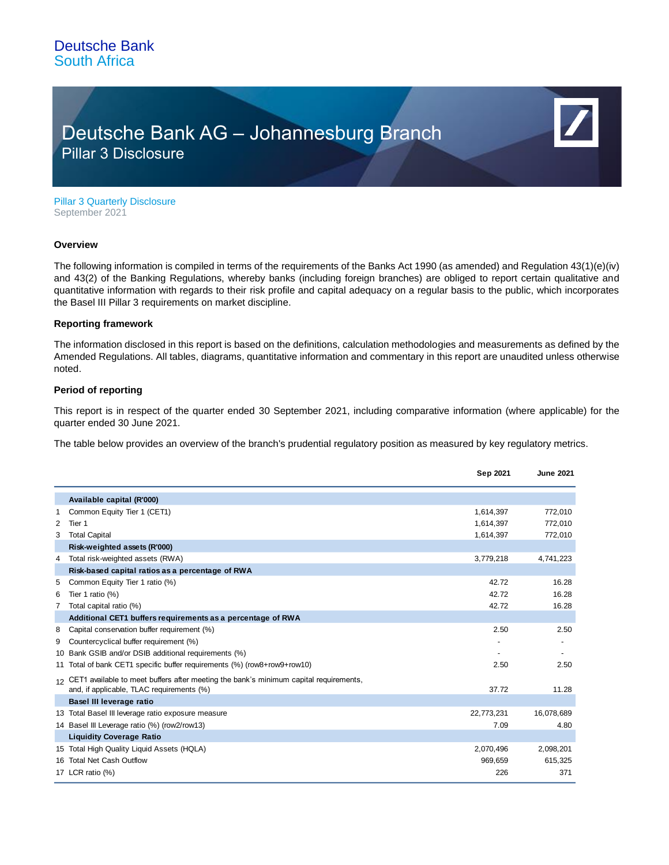## Deutsche Bank AG – Johannesburg Branch Pillar 3 Disclosure

Pillar 3 Quarterly Disclosure September 2021

#### **Overview**

The following information is compiled in terms of the requirements of the Banks Act 1990 (as amended) and Regulation 43(1)(e)(iv) and 43(2) of the Banking Regulations, whereby banks (including foreign branches) are obliged to report certain qualitative and quantitative information with regards to their risk profile and capital adequacy on a regular basis to the public, which incorporates the Basel III Pillar 3 requirements on market discipline.

### **Reporting framework**

The information disclosed in this report is based on the definitions, calculation methodologies and measurements as defined by the Amended Regulations. All tables, diagrams, quantitative information and commentary in this report are unaudited unless otherwise noted.

### **Period of reporting**

This report is in respect of the quarter ended 30 September 2021, including comparative information (where applicable) for the quarter ended 30 June 2021.

The table below provides an overview of the branch's prudential regulatory position as measured by key regulatory metrics.

|   |                                                                                                                                       | Sep 2021   | <b>June 2021</b> |
|---|---------------------------------------------------------------------------------------------------------------------------------------|------------|------------------|
|   | Available capital (R'000)                                                                                                             |            |                  |
| 1 | Common Equity Tier 1 (CET1)                                                                                                           | 1,614,397  | 772,010          |
| 2 | Tier 1                                                                                                                                | 1,614,397  | 772,010          |
| 3 | <b>Total Capital</b>                                                                                                                  | 1,614,397  | 772,010          |
|   | Risk-weighted assets (R'000)                                                                                                          |            |                  |
| 4 | Total risk-weighted assets (RWA)                                                                                                      | 3,779,218  | 4,741,223        |
|   | Risk-based capital ratios as a percentage of RWA                                                                                      |            |                  |
| 5 | Common Equity Tier 1 ratio (%)                                                                                                        | 42.72      | 16.28            |
| 6 | Tier 1 ratio $(\%)$                                                                                                                   | 42.72      | 16.28            |
| 7 | Total capital ratio (%)                                                                                                               | 42.72      | 16.28            |
|   | Additional CET1 buffers requirements as a percentage of RWA                                                                           |            |                  |
| 8 | Capital conservation buffer requirement (%)                                                                                           | 2.50       | 2.50             |
| 9 | Countercyclical buffer requirement (%)                                                                                                |            |                  |
|   | 10 Bank GSIB and/or DSIB additional requirements (%)                                                                                  |            |                  |
|   | 11 Total of bank CET1 specific buffer requirements (%) (row8+row9+row10)                                                              | 2.50       | 2.50             |
|   | 12 CET1 available to meet buffers after meeting the bank's minimum capital requirements,<br>and, if applicable, TLAC requirements (%) | 37.72      | 11.28            |
|   | Basel III leverage ratio                                                                                                              |            |                  |
|   | 13 Total Basel III leverage ratio exposure measure                                                                                    | 22,773,231 | 16,078,689       |
|   | 14 Basel III Leverage ratio (%) (row2/row13)                                                                                          | 7.09       | 4.80             |
|   | <b>Liquidity Coverage Ratio</b>                                                                                                       |            |                  |
|   | 15 Total High Quality Liquid Assets (HQLA)                                                                                            | 2,070,496  | 2,098,201        |
|   | 16 Total Net Cash Outflow                                                                                                             | 969,659    | 615,325          |
|   | 17 LCR ratio (%)                                                                                                                      | 226        | 371              |